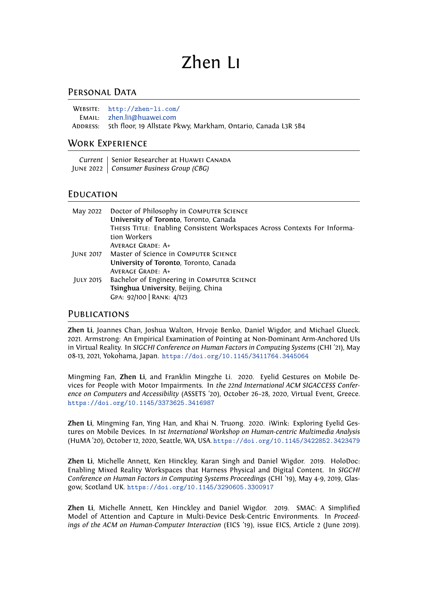# Zhen Li

## PERSONAL DATA

| WEBSITE: $http://zhen-li.com/$                                         |
|------------------------------------------------------------------------|
| EMAIL: zhen.li1@huawei.com                                             |
| ADDRESS: 5th floor, 19 Allstate Pkwy, Markham, Ontario, Canada L3R 5B4 |

## Work Experience

*Current* | Senior Researcher at HUAWEI CANADA June 2022 *Consumer Business Group (CBG)*

#### **EDUCATION**

| May 2022  | Doctor of Philosophy in COMPUTER SCIENCE<br>University of Toronto, Toronto, Canada        |
|-----------|-------------------------------------------------------------------------------------------|
|           | THESIS TITLE: Enabling Consistent Workspaces Across Contexts For Informa-<br>tion Workers |
|           | <b>AVERAGE GRADE: A+</b>                                                                  |
|           | JUNE 2017 Master of Science in COMPUTER SCIENCE                                           |
|           | University of Toronto, Toronto, Canada<br><b>AVERAGE GRADE: A+</b>                        |
| JULY 2015 | Bachelor of Engineering in COMPUTER SCIENCE                                               |
|           | Tsinghua University, Beijing, China                                                       |
|           | GPA: 92/100   RANK: 4/123                                                                 |

#### **PUBLICATIONS**

**Zhen Li**, Joannes Chan, Joshua Walton, Hrvoje Benko, Daniel Wigdor, and Michael Glueck. 2021. Armstrong: An Empirical Examination of Pointing at Non-Dominant Arm-Anchored UIs in Virtual Reality. In *SIGCHI Conference on Human Factors in Computing Systems* (CHI '21), May 08-13, 2021, Yokohama, Japan. <https://doi.org/10.1145/3411764.3445064>

Mingming Fan, **Zhen Li**, and Franklin Mingzhe Li. 2020. Eyelid Gestures on Mobile Devices for People with Motor Impairments. In *the 22nd International ACM SIGACCESS Conference on Computers and Accessibility* (ASSETS '20), October 26–28, 2020, Virtual Event, Greece. <https://doi.org/10.1145/3373625.3416987>

**Zhen Li**, Mingming Fan, Ying Han, and Khai N. Truong. 2020. iWink: Exploring Eyelid Gestures on Mobile Devices. In *1st International Workshop on Human-centric Multimedia Analysis* (HuMA '20), October 12, 2020, Seattle, WA, USA. <https://doi.org/10.1145/3422852.3423479>

**Zhen Li**, Michelle Annett, Ken Hinckley, Karan Singh and Daniel Wigdor. 2019. HoloDoc: Enabling Mixed Reality Workspaces that Harness Physical and Digital Content. In *SIGCHI Conference on Human Factors in Computing Systems Proceedings* (CHI '19), May 4-9, 2019, Glasgow, Scotland UK. <https://doi.org/10.1145/3290605.3300917>

**Zhen Li**, Michelle Annett, Ken Hinckley and Daniel Wigdor. 2019. SMAC: A Simplified Model of Attention and Capture in Multi-Device Desk-Centric Environments. In *Proceedings of the ACM on Human-Computer Interaction* (EICS '19), issue EICS, Article 2 (June 2019).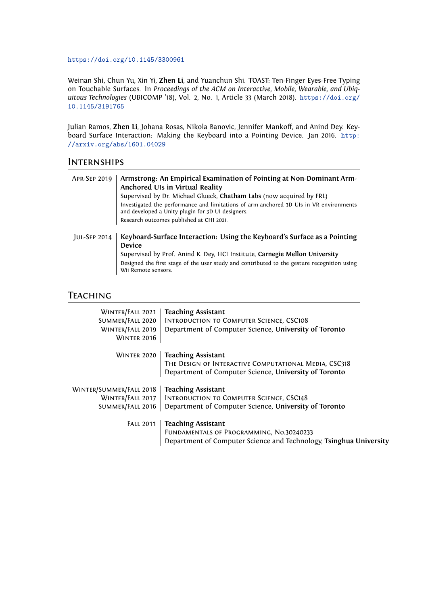#### <https://doi.org/10.1145/3300961>

Weinan Shi, Chun Yu, Xin Yi, **Zhen Li**, and Yuanchun Shi. TOAST: Ten-Finger Eyes-Free Typing on Touchable Surfaces. In *Proceedings of the ACM on Interactive, Mobile, Wearable, and Ubiquitous Technologies* (UBICOMP '18), Vol. 2, No. 1, Article 33 (March 2018). [https://doi.org/](https://doi.org/10.1145/3191765) [10.1145/3191765](https://doi.org/10.1145/3191765)

Julian Ramos, **Zhen Li**, Johana Rosas, Nikola Banovic, Jennifer Mankoff, and Anind Dey. Keyboard Surface Interaction: Making the Keyboard into a Pointing Device. Jan 2016. [http:](http://arxiv.org/abs/1601.04029) [//arxiv.org/abs/1601.04029](http://arxiv.org/abs/1601.04029)

#### **INTERNSHIPS**

| <b>APR-SEP 2019</b> | Armstrong: An Empirical Examination of Pointing at Non-Dominant Arm-<br>Anchored UIs in Virtual Reality                                     |
|---------------------|---------------------------------------------------------------------------------------------------------------------------------------------|
|                     | Supervised by Dr. Michael Glueck, Chatham Labs (now acquired by FRL)                                                                        |
|                     | Investigated the performance and limitations of arm-anchored 3D UIs in VR environments<br>and developed a Unity plugin for 3D UI designers. |
|                     | Research outcomes published at CHI 2021.                                                                                                    |
|                     |                                                                                                                                             |
| <b>JUL-SEP 2014</b> | Keyboard-Surface Interaction: Using the Keyboard's Surface as a Pointing                                                                    |
|                     | <b>Device</b>                                                                                                                               |
|                     | Supervised by Prof. Anind K. Dey, HCI Institute, Carnegie Mellon University                                                                 |
|                     | Designed the first stage of the user study and contributed to the gesture recognition using<br>Wii Remote sensors.                          |

# **TEACHING**

| WINTER/FALL 2021<br>SUMMER/FALL 2020<br>WINTER/FALL 2019<br><b>WINTER 2016</b> | <b>Teaching Assistant</b><br><b>INTRODUCTION TO COMPUTER SCIENCE, CSC108</b><br>Department of Computer Science, University of Toronto       |
|--------------------------------------------------------------------------------|---------------------------------------------------------------------------------------------------------------------------------------------|
| <b>WINTER 2020</b>                                                             | <b>Teaching Assistant</b><br>THE DESIGN OF INTERACTIVE COMPUTATIONAL MEDIA, CSC318<br>Department of Computer Science, University of Toronto |
| WINTER/SUMMER/FALL 2018<br>WINTER/FALL 2017                                    | <b>Teaching Assistant</b><br><b>INTRODUCTION TO COMPUTER SCIENCE, CSC148</b>                                                                |
| SUMMER/FALL 2016                                                               | Department of Computer Science, University of Toronto                                                                                       |
| <b>FALL 2011</b>                                                               | <b>Teaching Assistant</b><br>FUNDAMENTALS OF PROGRAMMING, No.30240233<br>Department of Computer Science and Technology, Tsinghua University |